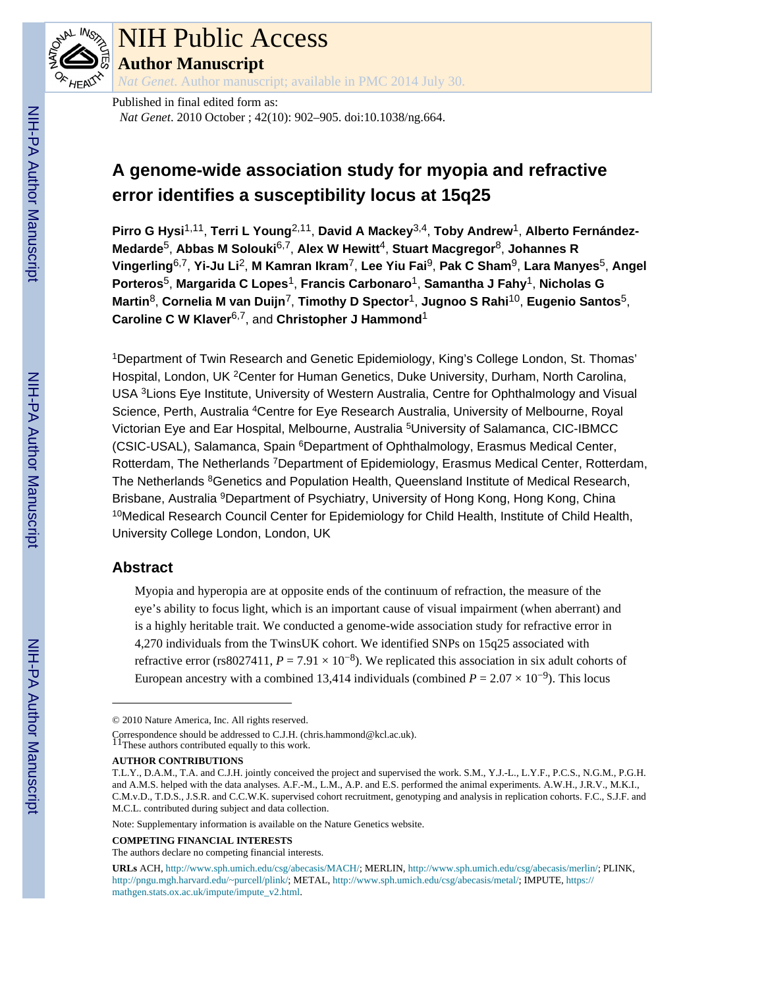

# NIH Public Access

**Author Manuscript**

*Nat Genet*. Author manuscript; available in PMC 2014 July 30.

Published in final edited form as: *Nat Genet*. 2010 October ; 42(10): 902–905. doi:10.1038/ng.664.

# **A genome-wide association study for myopia and refractive error identifies a susceptibility locus at 15q25**

**Pirro G Hysi**1,11, **Terri L Young**2,11, **David A Mackey**3,4, **Toby Andrew**1, **Alberto Fernández-Medarde**5, **Abbas M Solouki**6,7, **Alex W Hewitt**4, **Stuart Macgregor**8, **Johannes R Vingerling**6,7, **Yi-Ju Li**2, **M Kamran Ikram**7, **Lee Yiu Fai**9, **Pak C Sham**9, **Lara Manyes**5, **Angel Porteros**5, **Margarida C Lopes**1, **Francis Carbonaro**1, **Samantha J Fahy**1, **Nicholas G Martin**8, **Cornelia M van Duijn**7, **Timothy D Spector**1, **Jugnoo S Rahi**10, **Eugenio Santos**5, **Caroline C W Klaver**6,7, and **Christopher J Hammond**<sup>1</sup>

<sup>1</sup>Department of Twin Research and Genetic Epidemiology, King's College London, St. Thomas' Hospital, London, UK <sup>2</sup>Center for Human Genetics, Duke University, Durham, North Carolina, USA <sup>3</sup>Lions Eye Institute, University of Western Australia, Centre for Ophthalmology and Visual Science, Perth, Australia <sup>4</sup>Centre for Eye Research Australia, University of Melbourne, Royal Victorian Eye and Ear Hospital, Melbourne, Australia <sup>5</sup>University of Salamanca, CIC-IBMCC (CSIC-USAL), Salamanca, Spain <sup>6</sup>Department of Ophthalmology, Erasmus Medical Center, Rotterdam, The Netherlands <sup>7</sup>Department of Epidemiology, Erasmus Medical Center, Rotterdam, The Netherlands <sup>8</sup>Genetics and Population Health, Queensland Institute of Medical Research, Brisbane, Australia <sup>9</sup>Department of Psychiatry, University of Hong Kong, Hong Kong, China <sup>10</sup>Medical Research Council Center for Epidemiology for Child Health, Institute of Child Health, University College London, London, UK

# **Abstract**

Myopia and hyperopia are at opposite ends of the continuum of refraction, the measure of the eye's ability to focus light, which is an important cause of visual impairment (when aberrant) and is a highly heritable trait. We conducted a genome-wide association study for refractive error in 4,270 individuals from the TwinsUK cohort. We identified SNPs on 15q25 associated with refractive error (rs8027411,  $P = 7.91 \times 10^{-8}$ ). We replicated this association in six adult cohorts of European ancestry with a combined 13,414 individuals (combined  $P = 2.07 \times 10^{-9}$ ). This locus

#### **COMPETING FINANCIAL INTERESTS**

The authors declare no competing financial interests.

<sup>© 2010</sup> Nature America, Inc. All rights reserved.

Correspondence should be addressed to C.J.H. (chris.hammond@kcl.ac.uk).<br><sup>11</sup>These authors contributed equally to this work.

**AUTHOR CONTRIBUTIONS**

T.L.Y., D.A.M., T.A. and C.J.H. jointly conceived the project and supervised the work. S.M., Y.J.-L., L.Y.F., P.C.S., N.G.M., P.G.H. and A.M.S. helped with the data analyses. A.F.-M., L.M., A.P. and E.S. performed the animal experiments. A.W.H., J.R.V., M.K.I., C.M.v.D., T.D.S., J.S.R. and C.C.W.K. supervised cohort recruitment, genotyping and analysis in replication cohorts. F.C., S.J.F. and M.C.L. contributed during subject and data collection.

Note: Supplementary information is available on the Nature Genetics website.

**URLs** ACH, <http://www.sph.umich.edu/csg/abecasis/MACH/>; MERLIN,<http://www.sph.umich.edu/csg/abecasis/merlin/>; PLINK, [http://pngu.mgh.harvard.edu/~purcell/plink/;](http://pngu.mgh.harvard.edu/~purcell/plink/) METAL, [http://www.sph.umich.edu/csg/abecasis/metal/;](http://www.sph.umich.edu/csg/abecasis/metal/) IMPUTE, [https://](https://mathgen.stats.ox.ac.uk/impute/impute_v2.html) [mathgen.stats.ox.ac.uk/impute/impute\\_v2.html](https://mathgen.stats.ox.ac.uk/impute/impute_v2.html).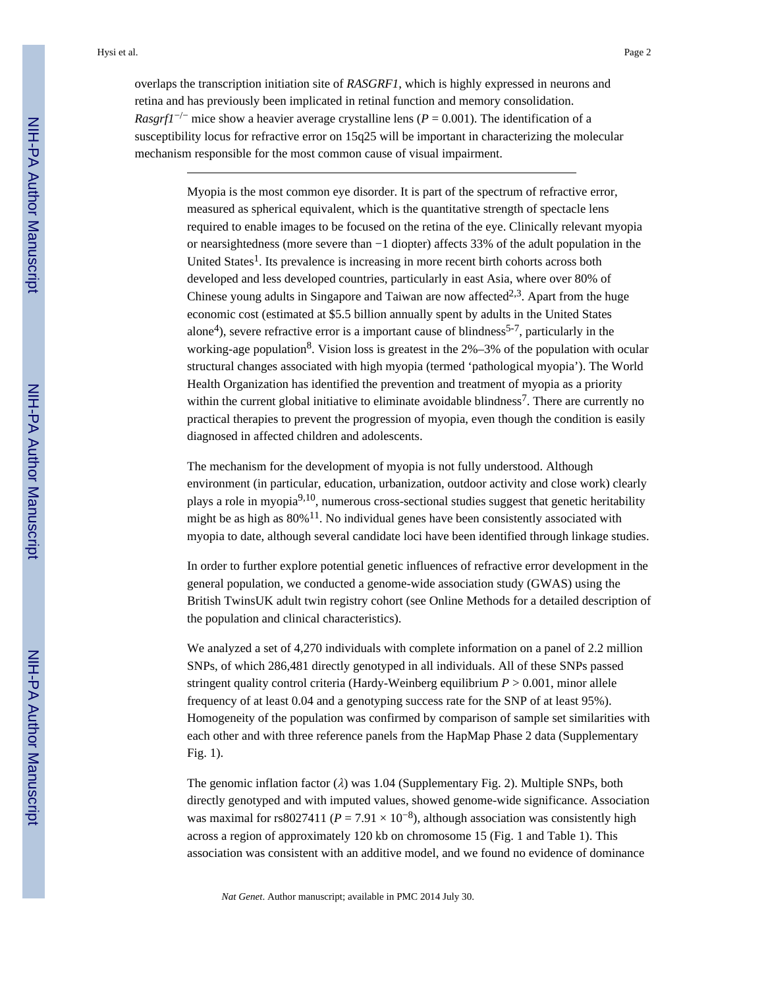overlaps the transcription initiation site of *RASGRF1*, which is highly expressed in neurons and retina and has previously been implicated in retinal function and memory consolidation. *Rasgrf1<sup>-/-</sup>* mice show a heavier average crystalline lens ( $P = 0.001$ ). The identification of a susceptibility locus for refractive error on 15q25 will be important in characterizing the molecular mechanism responsible for the most common cause of visual impairment.

> Myopia is the most common eye disorder. It is part of the spectrum of refractive error, measured as spherical equivalent, which is the quantitative strength of spectacle lens required to enable images to be focused on the retina of the eye. Clinically relevant myopia or nearsightedness (more severe than −1 diopter) affects 33% of the adult population in the United States<sup>1</sup>. Its prevalence is increasing in more recent birth cohorts across both developed and less developed countries, particularly in east Asia, where over 80% of Chinese young adults in Singapore and Taiwan are now affected<sup>2,3</sup>. Apart from the huge economic cost (estimated at \$5.5 billion annually spent by adults in the United States alone<sup>4</sup>), severe refractive error is a important cause of blindness<sup>5-7</sup>, particularly in the working-age population<sup>8</sup>. Vision loss is greatest in the  $2\% - 3\%$  of the population with ocular structural changes associated with high myopia (termed 'pathological myopia'). The World Health Organization has identified the prevention and treatment of myopia as a priority within the current global initiative to eliminate avoidable blindness<sup>7</sup>. There are currently no practical therapies to prevent the progression of myopia, even though the condition is easily diagnosed in affected children and adolescents.

> The mechanism for the development of myopia is not fully understood. Although environment (in particular, education, urbanization, outdoor activity and close work) clearly plays a role in myopia<sup>9,10</sup>, numerous cross-sectional studies suggest that genetic heritability might be as high as  $80\%$ <sup>11</sup>. No individual genes have been consistently associated with myopia to date, although several candidate loci have been identified through linkage studies.

> In order to further explore potential genetic influences of refractive error development in the general population, we conducted a genome-wide association study (GWAS) using the British TwinsUK adult twin registry cohort (see Online Methods for a detailed description of the population and clinical characteristics).

> We analyzed a set of 4,270 individuals with complete information on a panel of 2.2 million SNPs, of which 286,481 directly genotyped in all individuals. All of these SNPs passed stringent quality control criteria (Hardy-Weinberg equilibrium *P* > 0.001, minor allele frequency of at least 0.04 and a genotyping success rate for the SNP of at least 95%). Homogeneity of the population was confirmed by comparison of sample set similarities with each other and with three reference panels from the HapMap Phase 2 data (Supplementary Fig. 1).

> The genomic inflation factor  $(\lambda)$  was 1.04 (Supplementary Fig. 2). Multiple SNPs, both directly genotyped and with imputed values, showed genome-wide significance. Association was maximal for rs8027411 ( $P = 7.91 \times 10^{-8}$ ), although association was consistently high across a region of approximately 120 kb on chromosome 15 (Fig. 1 and Table 1). This association was consistent with an additive model, and we found no evidence of dominance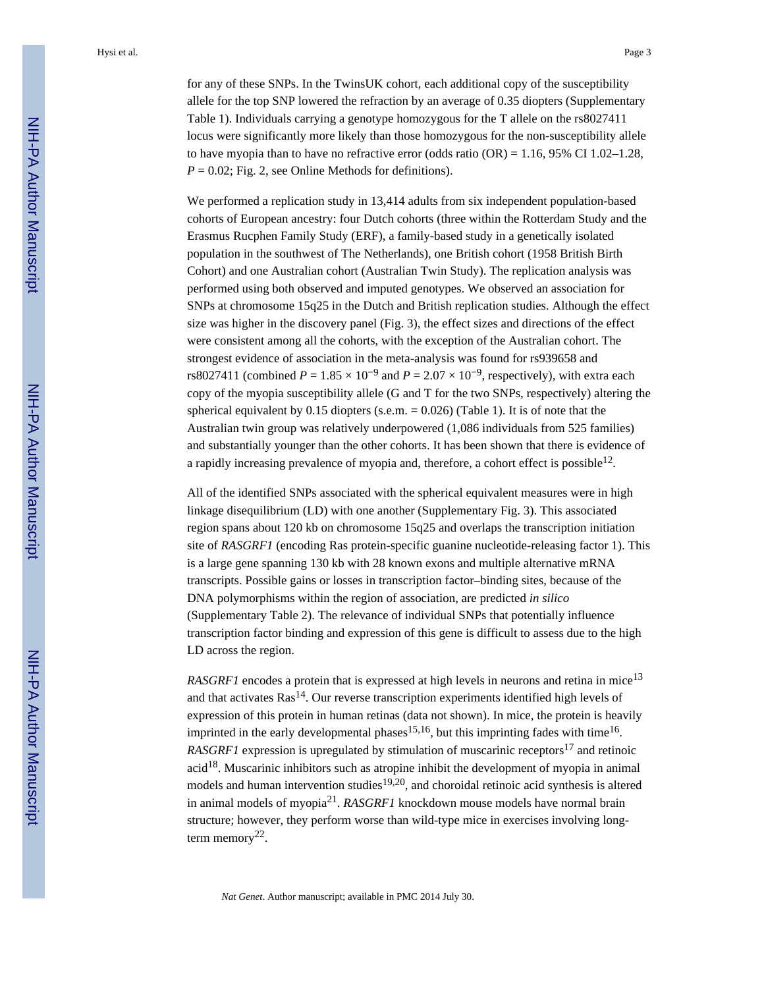for any of these SNPs. In the TwinsUK cohort, each additional copy of the susceptibility allele for the top SNP lowered the refraction by an average of 0.35 diopters (Supplementary Table 1). Individuals carrying a genotype homozygous for the T allele on the rs8027411 locus were significantly more likely than those homozygous for the non-susceptibility allele to have myopia than to have no refractive error (odds ratio  $(OR) = 1.16$ , 95% CI 1.02–1.28,  $P = 0.02$ ; Fig. 2, see Online Methods for definitions).

We performed a replication study in 13,414 adults from six independent population-based cohorts of European ancestry: four Dutch cohorts (three within the Rotterdam Study and the Erasmus Rucphen Family Study (ERF), a family-based study in a genetically isolated population in the southwest of The Netherlands), one British cohort (1958 British Birth Cohort) and one Australian cohort (Australian Twin Study). The replication analysis was performed using both observed and imputed genotypes. We observed an association for SNPs at chromosome 15q25 in the Dutch and British replication studies. Although the effect size was higher in the discovery panel (Fig. 3), the effect sizes and directions of the effect were consistent among all the cohorts, with the exception of the Australian cohort. The strongest evidence of association in the meta-analysis was found for rs939658 and rs8027411 (combined  $P = 1.85 \times 10^{-9}$  and  $P = 2.07 \times 10^{-9}$ , respectively), with extra each copy of the myopia susceptibility allele (G and T for the two SNPs, respectively) altering the spherical equivalent by 0.15 diopters (s.e.m.  $= 0.026$ ) (Table 1). It is of note that the Australian twin group was relatively underpowered (1,086 individuals from 525 families) and substantially younger than the other cohorts. It has been shown that there is evidence of a rapidly increasing prevalence of myopia and, therefore, a cohort effect is possible<sup>12</sup>.

All of the identified SNPs associated with the spherical equivalent measures were in high linkage disequilibrium (LD) with one another (Supplementary Fig. 3). This associated region spans about 120 kb on chromosome 15q25 and overlaps the transcription initiation site of *RASGRF1* (encoding Ras protein-specific guanine nucleotide-releasing factor 1). This is a large gene spanning 130 kb with 28 known exons and multiple alternative mRNA transcripts. Possible gains or losses in transcription factor–binding sites, because of the DNA polymorphisms within the region of association, are predicted *in silico* (Supplementary Table 2). The relevance of individual SNPs that potentially influence transcription factor binding and expression of this gene is difficult to assess due to the high LD across the region.

*RASGRF1* encodes a protein that is expressed at high levels in neurons and retina in mice<sup>13</sup> and that activates  $\text{Ras}^{14}$ . Our reverse transcription experiments identified high levels of expression of this protein in human retinas (data not shown). In mice, the protein is heavily imprinted in the early developmental phases<sup>15,16</sup>, but this imprinting fades with time<sup>16</sup>. *RASGRF1* expression is upregulated by stimulation of muscarinic receptors<sup>17</sup> and retinoic  $\alpha$  acid<sup>18</sup>. Muscarinic inhibitors such as atropine inhibit the development of myopia in animal models and human intervention studies<sup>19,20</sup>, and choroidal retinoic acid synthesis is altered in animal models of myopia<sup>21</sup> . *RASGRF1* knockdown mouse models have normal brain structure; however, they perform worse than wild-type mice in exercises involving longterm memory<sup>22</sup>.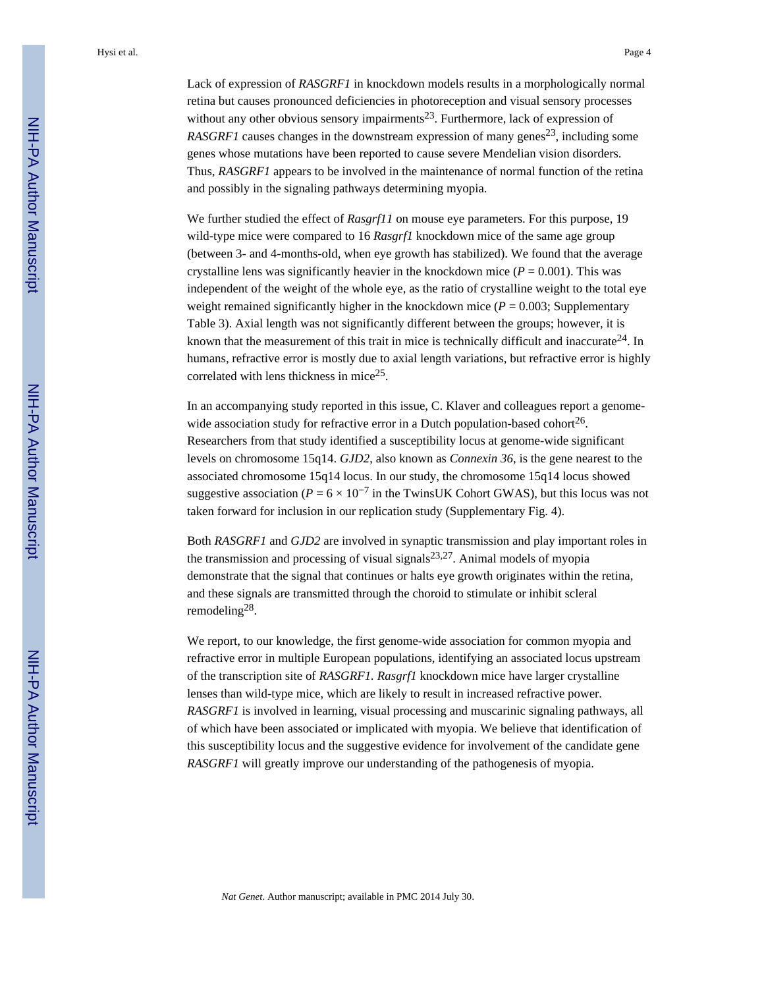Lack of expression of *RASGRF1* in knockdown models results in a morphologically normal retina but causes pronounced deficiencies in photoreception and visual sensory processes without any other obvious sensory impairments<sup>23</sup>. Furthermore, lack of expression of *RASGRF1* causes changes in the downstream expression of many genes<sup>23</sup>, including some genes whose mutations have been reported to cause severe Mendelian vision disorders. Thus, *RASGRF1* appears to be involved in the maintenance of normal function of the retina and possibly in the signaling pathways determining myopia.

We further studied the effect of *Rasgrf11* on mouse eye parameters. For this purpose, 19 wild-type mice were compared to 16 *Rasgrf1* knockdown mice of the same age group (between 3- and 4-months-old, when eye growth has stabilized). We found that the average crystalline lens was significantly heavier in the knockdown mice  $(P = 0.001)$ . This was independent of the weight of the whole eye, as the ratio of crystalline weight to the total eye weight remained significantly higher in the knockdown mice  $(P = 0.003$ ; Supplementary Table 3). Axial length was not significantly different between the groups; however, it is known that the measurement of this trait in mice is technically difficult and inaccurate<sup>24</sup>. In humans, refractive error is mostly due to axial length variations, but refractive error is highly correlated with lens thickness in mice<sup>25</sup>.

In an accompanying study reported in this issue, C. Klaver and colleagues report a genomewide association study for refractive error in a Dutch population-based cohort<sup>26</sup>. Researchers from that study identified a susceptibility locus at genome-wide significant levels on chromosome 15q14. *GJD2*, also known as *Connexin 36*, is the gene nearest to the associated chromosome 15q14 locus. In our study, the chromosome 15q14 locus showed suggestive association ( $P = 6 \times 10^{-7}$  in the TwinsUK Cohort GWAS), but this locus was not taken forward for inclusion in our replication study (Supplementary Fig. 4).

Both *RASGRF1* and *GJD2* are involved in synaptic transmission and play important roles in the transmission and processing of visual signals $23,27$ . Animal models of myopia demonstrate that the signal that continues or halts eye growth originates within the retina, and these signals are transmitted through the choroid to stimulate or inhibit scleral remodeling<sup>28</sup>.

We report, to our knowledge, the first genome-wide association for common myopia and refractive error in multiple European populations, identifying an associated locus upstream of the transcription site of *RASGRF1. Rasgrf1* knockdown mice have larger crystalline lenses than wild-type mice, which are likely to result in increased refractive power. *RASGRF1* is involved in learning, visual processing and muscarinic signaling pathways, all of which have been associated or implicated with myopia. We believe that identification of this susceptibility locus and the suggestive evidence for involvement of the candidate gene *RASGRF1* will greatly improve our understanding of the pathogenesis of myopia.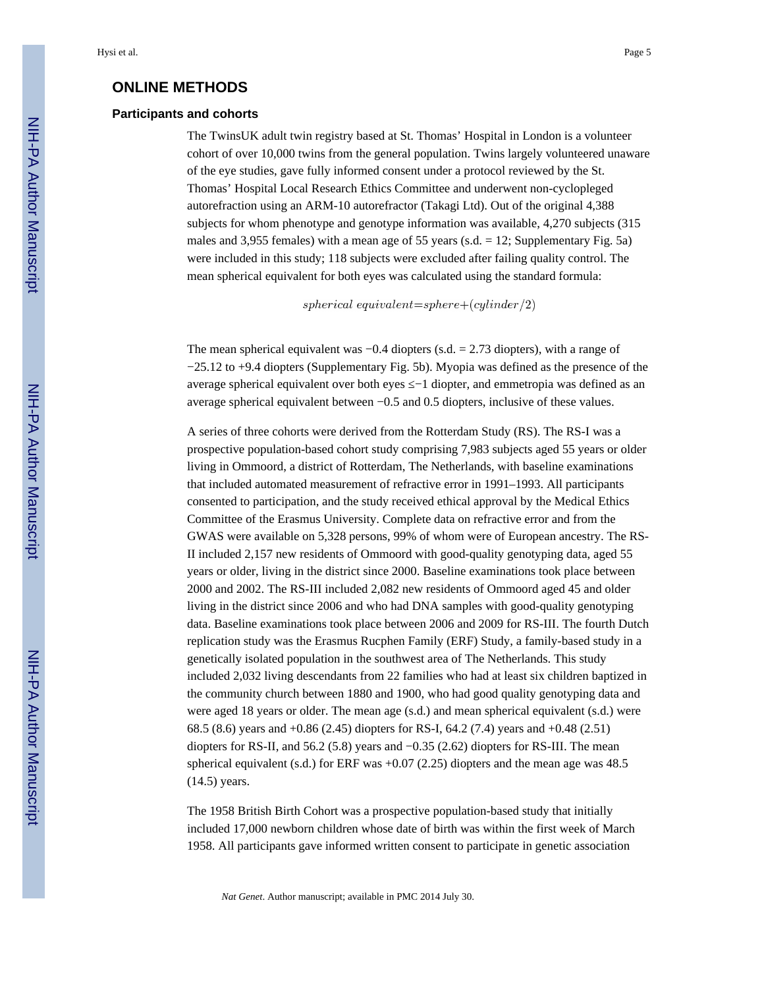## **ONLINE METHODS**

#### **Participants and cohorts**

The TwinsUK adult twin registry based at St. Thomas' Hospital in London is a volunteer cohort of over 10,000 twins from the general population. Twins largely volunteered unaware of the eye studies, gave fully informed consent under a protocol reviewed by the St. Thomas' Hospital Local Research Ethics Committee and underwent non-cyclopleged autorefraction using an ARM-10 autorefractor (Takagi Ltd). Out of the original 4,388 subjects for whom phenotype and genotype information was available, 4,270 subjects (315 males and 3,955 females) with a mean age of 55 years (s.d. = 12; Supplementary Fig. 5a) were included in this study; 118 subjects were excluded after failing quality control. The mean spherical equivalent for both eyes was calculated using the standard formula:

spherical equivalent=sphere+(cylinder/2)

The mean spherical equivalent was −0.4 diopters (s.d. = 2.73 diopters), with a range of −25.12 to +9.4 diopters (Supplementary Fig. 5b). Myopia was defined as the presence of the average spherical equivalent over both eyes –1 diopter, and emmetropia was defined as an average spherical equivalent between −0.5 and 0.5 diopters, inclusive of these values.

A series of three cohorts were derived from the Rotterdam Study (RS). The RS-I was a prospective population-based cohort study comprising 7,983 subjects aged 55 years or older living in Ommoord, a district of Rotterdam, The Netherlands, with baseline examinations that included automated measurement of refractive error in 1991–1993. All participants consented to participation, and the study received ethical approval by the Medical Ethics Committee of the Erasmus University. Complete data on refractive error and from the GWAS were available on 5,328 persons, 99% of whom were of European ancestry. The RS-II included 2,157 new residents of Ommoord with good-quality genotyping data, aged 55 years or older, living in the district since 2000. Baseline examinations took place between 2000 and 2002. The RS-III included 2,082 new residents of Ommoord aged 45 and older living in the district since 2006 and who had DNA samples with good-quality genotyping data. Baseline examinations took place between 2006 and 2009 for RS-III. The fourth Dutch replication study was the Erasmus Rucphen Family (ERF) Study, a family-based study in a genetically isolated population in the southwest area of The Netherlands. This study included 2,032 living descendants from 22 families who had at least six children baptized in the community church between 1880 and 1900, who had good quality genotyping data and were aged 18 years or older. The mean age (s.d.) and mean spherical equivalent (s.d.) were 68.5 (8.6) years and +0.86 (2.45) diopters for RS-I, 64.2 (7.4) years and +0.48 (2.51) diopters for RS-II, and 56.2 (5.8) years and −0.35 (2.62) diopters for RS-III. The mean spherical equivalent (s.d.) for ERF was  $+0.07$  (2.25) diopters and the mean age was 48.5 (14.5) years.

The 1958 British Birth Cohort was a prospective population-based study that initially included 17,000 newborn children whose date of birth was within the first week of March 1958. All participants gave informed written consent to participate in genetic association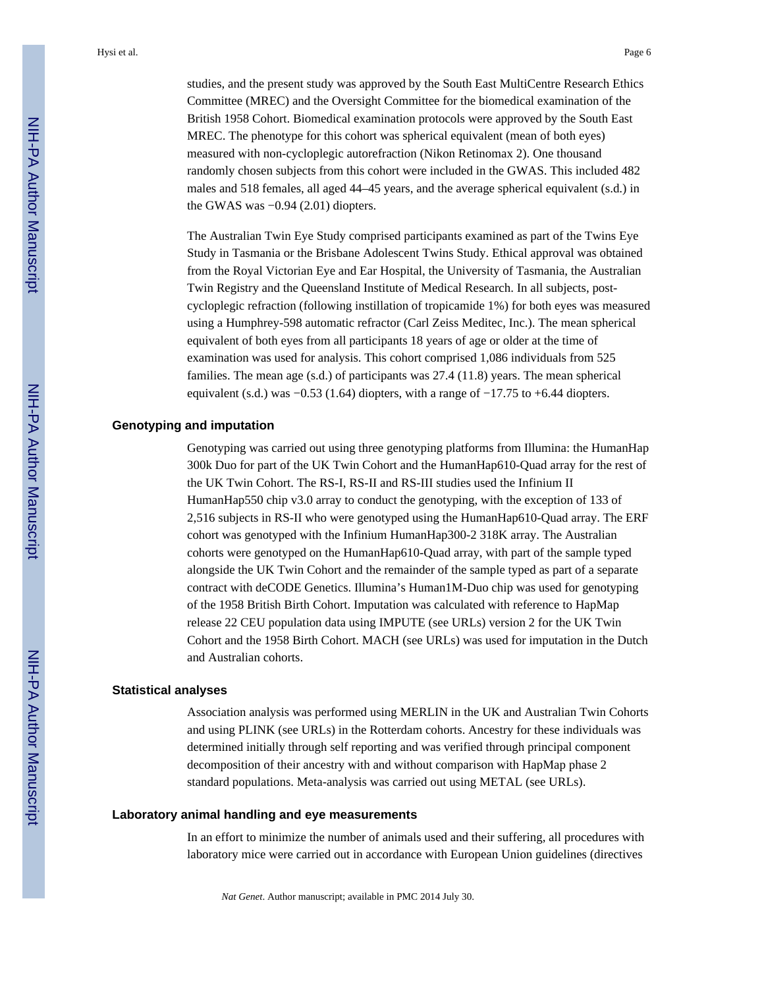studies, and the present study was approved by the South East MultiCentre Research Ethics Committee (MREC) and the Oversight Committee for the biomedical examination of the British 1958 Cohort. Biomedical examination protocols were approved by the South East MREC. The phenotype for this cohort was spherical equivalent (mean of both eyes) measured with non-cycloplegic autorefraction (Nikon Retinomax 2). One thousand randomly chosen subjects from this cohort were included in the GWAS. This included 482 males and 518 females, all aged 44–45 years, and the average spherical equivalent (s.d.) in the GWAS was  $-0.94$  (2.01) diopters.

The Australian Twin Eye Study comprised participants examined as part of the Twins Eye Study in Tasmania or the Brisbane Adolescent Twins Study. Ethical approval was obtained from the Royal Victorian Eye and Ear Hospital, the University of Tasmania, the Australian Twin Registry and the Queensland Institute of Medical Research. In all subjects, postcycloplegic refraction (following instillation of tropicamide 1%) for both eyes was measured using a Humphrey-598 automatic refractor (Carl Zeiss Meditec, Inc.). The mean spherical equivalent of both eyes from all participants 18 years of age or older at the time of examination was used for analysis. This cohort comprised 1,086 individuals from 525 families. The mean age (s.d.) of participants was 27.4 (11.8) years. The mean spherical equivalent (s.d.) was  $-0.53$  (1.64) diopters, with a range of  $-17.75$  to  $+6.44$  diopters.

## **Genotyping and imputation**

Genotyping was carried out using three genotyping platforms from Illumina: the HumanHap 300k Duo for part of the UK Twin Cohort and the HumanHap610-Quad array for the rest of the UK Twin Cohort. The RS-I, RS-II and RS-III studies used the Infinium II HumanHap550 chip v3.0 array to conduct the genotyping, with the exception of 133 of 2,516 subjects in RS-II who were genotyped using the HumanHap610-Quad array. The ERF cohort was genotyped with the Infinium HumanHap300-2 318K array. The Australian cohorts were genotyped on the HumanHap610-Quad array, with part of the sample typed alongside the UK Twin Cohort and the remainder of the sample typed as part of a separate contract with deCODE Genetics. Illumina's Human1M-Duo chip was used for genotyping of the 1958 British Birth Cohort. Imputation was calculated with reference to HapMap release 22 CEU population data using IMPUTE (see URLs) version 2 for the UK Twin Cohort and the 1958 Birth Cohort. MACH (see URLs) was used for imputation in the Dutch and Australian cohorts.

#### **Statistical analyses**

Association analysis was performed using MERLIN in the UK and Australian Twin Cohorts and using PLINK (see URLs) in the Rotterdam cohorts. Ancestry for these individuals was determined initially through self reporting and was verified through principal component decomposition of their ancestry with and without comparison with HapMap phase 2 standard populations. Meta-analysis was carried out using METAL (see URLs).

#### **Laboratory animal handling and eye measurements**

In an effort to minimize the number of animals used and their suffering, all procedures with laboratory mice were carried out in accordance with European Union guidelines (directives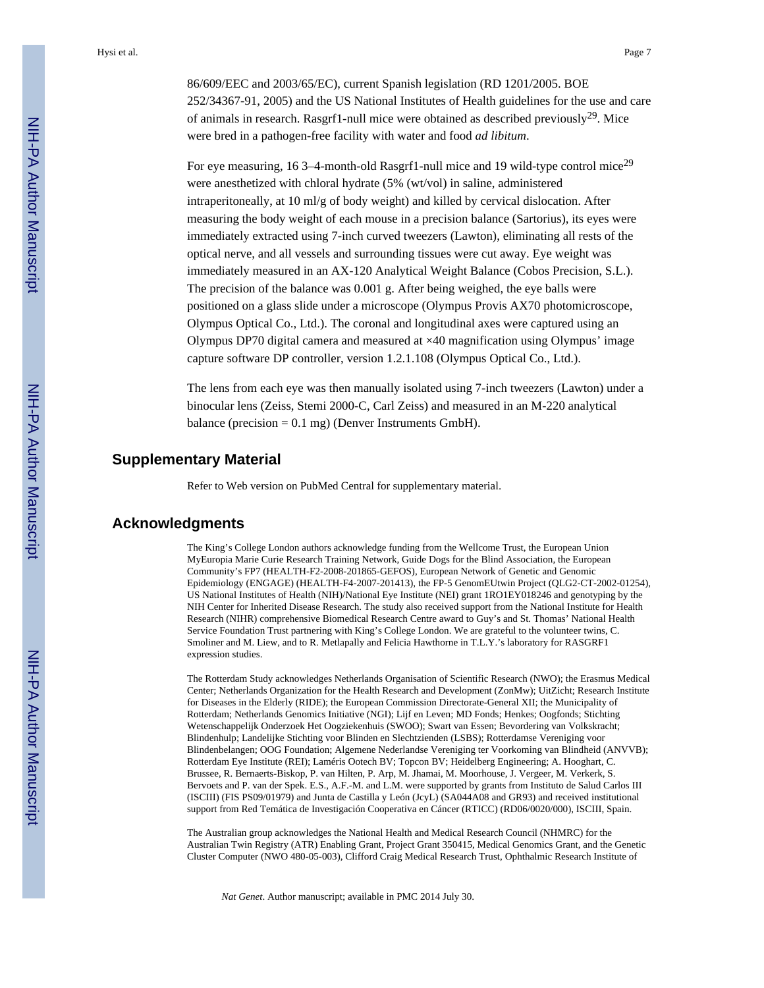86/609/EEC and 2003/65/EC), current Spanish legislation (RD 1201/2005. BOE 252/34367-91, 2005) and the US National Institutes of Health guidelines for the use and care of animals in research. Rasgrf1-null mice were obtained as described previously<sup>29</sup>. Mice were bred in a pathogen-free facility with water and food *ad libitum*.

For eye measuring, 16 3–4-month-old Rasgrf1-null mice and 19 wild-type control mice<sup>29</sup> were anesthetized with chloral hydrate (5% (wt/vol) in saline, administered intraperitoneally, at 10 ml/g of body weight) and killed by cervical dislocation. After measuring the body weight of each mouse in a precision balance (Sartorius), its eyes were immediately extracted using 7-inch curved tweezers (Lawton), eliminating all rests of the optical nerve, and all vessels and surrounding tissues were cut away. Eye weight was immediately measured in an AX-120 Analytical Weight Balance (Cobos Precision, S.L.). The precision of the balance was 0.001 g. After being weighed, the eye balls were positioned on a glass slide under a microscope (Olympus Provis AX70 photomicroscope, Olympus Optical Co., Ltd.). The coronal and longitudinal axes were captured using an Olympus DP70 digital camera and measured at ×40 magnification using Olympus' image capture software DP controller, version 1.2.1.108 (Olympus Optical Co., Ltd.).

The lens from each eye was then manually isolated using 7-inch tweezers (Lawton) under a binocular lens (Zeiss, Stemi 2000-C, Carl Zeiss) and measured in an M-220 analytical balance (precision  $= 0.1$  mg) (Denver Instruments GmbH).

# **Supplementary Material**

Refer to Web version on PubMed Central for supplementary material.

# **Acknowledgments**

The King's College London authors acknowledge funding from the Wellcome Trust, the European Union MyEuropia Marie Curie Research Training Network, Guide Dogs for the Blind Association, the European Community's FP7 (HEALTH-F2-2008-201865-GEFOS), European Network of Genetic and Genomic Epidemiology (ENGAGE) (HEALTH-F4-2007-201413), the FP-5 GenomEUtwin Project (QLG2-CT-2002-01254), US National Institutes of Health (NIH)/National Eye Institute (NEI) grant 1RO1EY018246 and genotyping by the NIH Center for Inherited Disease Research. The study also received support from the National Institute for Health Research (NIHR) comprehensive Biomedical Research Centre award to Guy's and St. Thomas' National Health Service Foundation Trust partnering with King's College London. We are grateful to the volunteer twins, C. Smoliner and M. Liew, and to R. Metlapally and Felicia Hawthorne in T.L.Y.'s laboratory for RASGRF1 expression studies.

The Rotterdam Study acknowledges Netherlands Organisation of Scientific Research (NWO); the Erasmus Medical Center; Netherlands Organization for the Health Research and Development (ZonMw); UitZicht; Research Institute for Diseases in the Elderly (RIDE); the European Commission Directorate-General XII; the Municipality of Rotterdam; Netherlands Genomics Initiative (NGI); Lijf en Leven; MD Fonds; Henkes; Oogfonds; Stichting Wetenschappelijk Onderzoek Het Oogziekenhuis (SWOO); Swart van Essen; Bevordering van Volkskracht; Blindenhulp; Landelijke Stichting voor Blinden en Slechtzienden (LSBS); Rotterdamse Vereniging voor Blindenbelangen; OOG Foundation; Algemene Nederlandse Vereniging ter Voorkoming van Blindheid (ANVVB); Rotterdam Eye Institute (REI); Laméris Ootech BV; Topcon BV; Heidelberg Engineering; A. Hooghart, C. Brussee, R. Bernaerts-Biskop, P. van Hilten, P. Arp, M. Jhamai, M. Moorhouse, J. Vergeer, M. Verkerk, S. Bervoets and P. van der Spek. E.S., A.F.-M. and L.M. were supported by grants from Instituto de Salud Carlos III (ISCIII) (FIS PS09/01979) and Junta de Castilla y León (JcyL) (SA044A08 and GR93) and received institutional support from Red Temática de Investigación Cooperativa en Cáncer (RTICC) (RD06/0020/000), ISCIII, Spain.

The Australian group acknowledges the National Health and Medical Research Council (NHMRC) for the Australian Twin Registry (ATR) Enabling Grant, Project Grant 350415, Medical Genomics Grant, and the Genetic Cluster Computer (NWO 480-05-003), Clifford Craig Medical Research Trust, Ophthalmic Research Institute of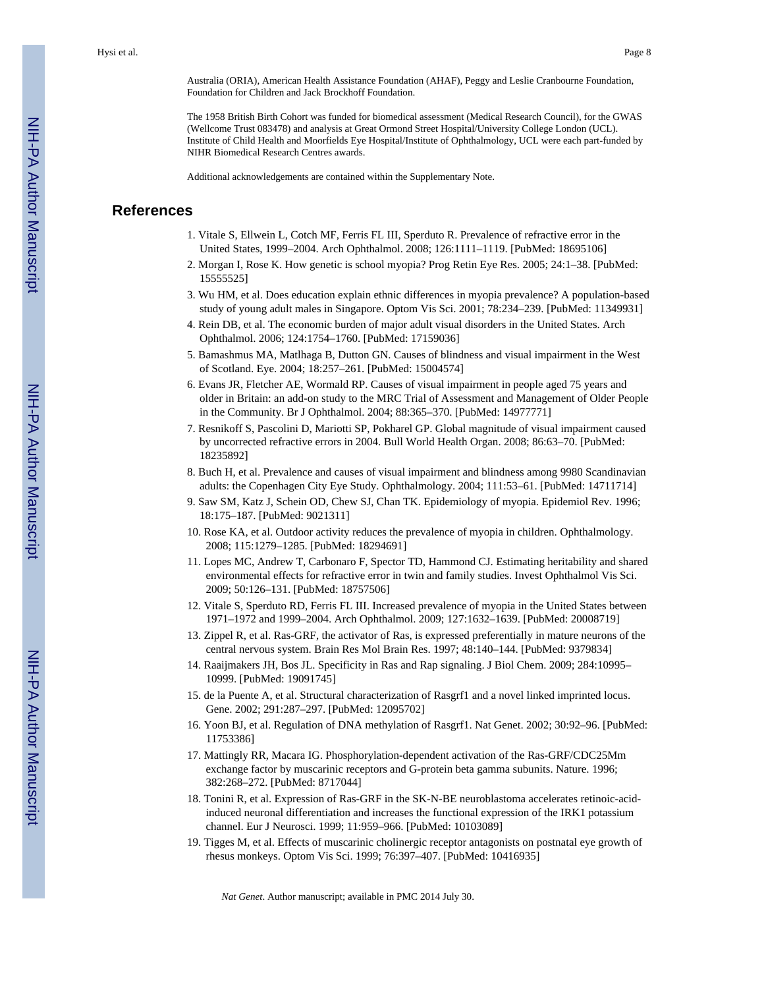Australia (ORIA), American Health Assistance Foundation (AHAF), Peggy and Leslie Cranbourne Foundation, Foundation for Children and Jack Brockhoff Foundation.

The 1958 British Birth Cohort was funded for biomedical assessment (Medical Research Council), for the GWAS (Wellcome Trust 083478) and analysis at Great Ormond Street Hospital/University College London (UCL). Institute of Child Health and Moorfields Eye Hospital/Institute of Ophthalmology, UCL were each part-funded by NIHR Biomedical Research Centres awards.

Additional acknowledgements are contained within the Supplementary Note.

# **References**

- 1. Vitale S, Ellwein L, Cotch MF, Ferris FL III, Sperduto R. Prevalence of refractive error in the United States, 1999–2004. Arch Ophthalmol. 2008; 126:1111–1119. [PubMed: 18695106]
- 2. Morgan I, Rose K. How genetic is school myopia? Prog Retin Eye Res. 2005; 24:1–38. [PubMed: 15555525]
- 3. Wu HM, et al. Does education explain ethnic differences in myopia prevalence? A population-based study of young adult males in Singapore. Optom Vis Sci. 2001; 78:234–239. [PubMed: 11349931]
- 4. Rein DB, et al. The economic burden of major adult visual disorders in the United States. Arch Ophthalmol. 2006; 124:1754–1760. [PubMed: 17159036]
- 5. Bamashmus MA, Matlhaga B, Dutton GN. Causes of blindness and visual impairment in the West of Scotland. Eye. 2004; 18:257–261. [PubMed: 15004574]
- 6. Evans JR, Fletcher AE, Wormald RP. Causes of visual impairment in people aged 75 years and older in Britain: an add-on study to the MRC Trial of Assessment and Management of Older People in the Community. Br J Ophthalmol. 2004; 88:365–370. [PubMed: 14977771]
- 7. Resnikoff S, Pascolini D, Mariotti SP, Pokharel GP. Global magnitude of visual impairment caused by uncorrected refractive errors in 2004. Bull World Health Organ. 2008; 86:63–70. [PubMed: 18235892]
- 8. Buch H, et al. Prevalence and causes of visual impairment and blindness among 9980 Scandinavian adults: the Copenhagen City Eye Study. Ophthalmology. 2004; 111:53–61. [PubMed: 14711714]
- 9. Saw SM, Katz J, Schein OD, Chew SJ, Chan TK. Epidemiology of myopia. Epidemiol Rev. 1996; 18:175–187. [PubMed: 9021311]
- 10. Rose KA, et al. Outdoor activity reduces the prevalence of myopia in children. Ophthalmology. 2008; 115:1279–1285. [PubMed: 18294691]
- 11. Lopes MC, Andrew T, Carbonaro F, Spector TD, Hammond CJ. Estimating heritability and shared environmental effects for refractive error in twin and family studies. Invest Ophthalmol Vis Sci. 2009; 50:126–131. [PubMed: 18757506]
- 12. Vitale S, Sperduto RD, Ferris FL III. Increased prevalence of myopia in the United States between 1971–1972 and 1999–2004. Arch Ophthalmol. 2009; 127:1632–1639. [PubMed: 20008719]
- 13. Zippel R, et al. Ras-GRF, the activator of Ras, is expressed preferentially in mature neurons of the central nervous system. Brain Res Mol Brain Res. 1997; 48:140–144. [PubMed: 9379834]
- 14. Raaijmakers JH, Bos JL. Specificity in Ras and Rap signaling. J Biol Chem. 2009; 284:10995– 10999. [PubMed: 19091745]
- 15. de la Puente A, et al. Structural characterization of Rasgrf1 and a novel linked imprinted locus. Gene. 2002; 291:287–297. [PubMed: 12095702]
- 16. Yoon BJ, et al. Regulation of DNA methylation of Rasgrf1. Nat Genet. 2002; 30:92–96. [PubMed: 11753386]
- 17. Mattingly RR, Macara IG. Phosphorylation-dependent activation of the Ras-GRF/CDC25Mm exchange factor by muscarinic receptors and G-protein beta gamma subunits. Nature. 1996; 382:268–272. [PubMed: 8717044]
- 18. Tonini R, et al. Expression of Ras-GRF in the SK-N-BE neuroblastoma accelerates retinoic-acidinduced neuronal differentiation and increases the functional expression of the IRK1 potassium channel. Eur J Neurosci. 1999; 11:959–966. [PubMed: 10103089]
- 19. Tigges M, et al. Effects of muscarinic cholinergic receptor antagonists on postnatal eye growth of rhesus monkeys. Optom Vis Sci. 1999; 76:397–407. [PubMed: 10416935]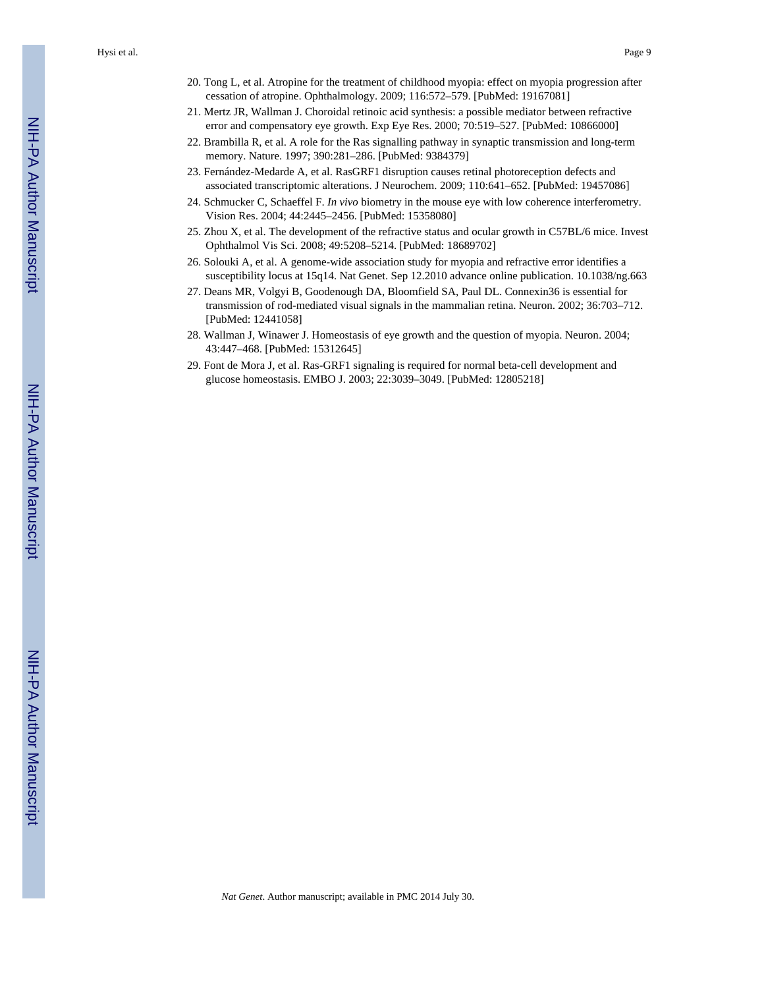- 20. Tong L, et al. Atropine for the treatment of childhood myopia: effect on myopia progression after cessation of atropine. Ophthalmology. 2009; 116:572–579. [PubMed: 19167081]
- 21. Mertz JR, Wallman J. Choroidal retinoic acid synthesis: a possible mediator between refractive error and compensatory eye growth. Exp Eye Res. 2000; 70:519–527. [PubMed: 10866000]
- 22. Brambilla R, et al. A role for the Ras signalling pathway in synaptic transmission and long-term memory. Nature. 1997; 390:281–286. [PubMed: 9384379]
- 23. Fernández-Medarde A, et al. RasGRF1 disruption causes retinal photoreception defects and associated transcriptomic alterations. J Neurochem. 2009; 110:641–652. [PubMed: 19457086]
- 24. Schmucker C, Schaeffel F. *In vivo* biometry in the mouse eye with low coherence interferometry. Vision Res. 2004; 44:2445–2456. [PubMed: 15358080]
- 25. Zhou X, et al. The development of the refractive status and ocular growth in C57BL/6 mice. Invest Ophthalmol Vis Sci. 2008; 49:5208–5214. [PubMed: 18689702]
- 26. Solouki A, et al. A genome-wide association study for myopia and refractive error identifies a susceptibility locus at 15q14. Nat Genet. Sep 12.2010 advance online publication. 10.1038/ng.663
- 27. Deans MR, Volgyi B, Goodenough DA, Bloomfield SA, Paul DL. Connexin36 is essential for transmission of rod-mediated visual signals in the mammalian retina. Neuron. 2002; 36:703–712. [PubMed: 12441058]
- 28. Wallman J, Winawer J. Homeostasis of eye growth and the question of myopia. Neuron. 2004; 43:447–468. [PubMed: 15312645]
- 29. Font de Mora J, et al. Ras-GRF1 signaling is required for normal beta-cell development and glucose homeostasis. EMBO J. 2003; 22:3039–3049. [PubMed: 12805218]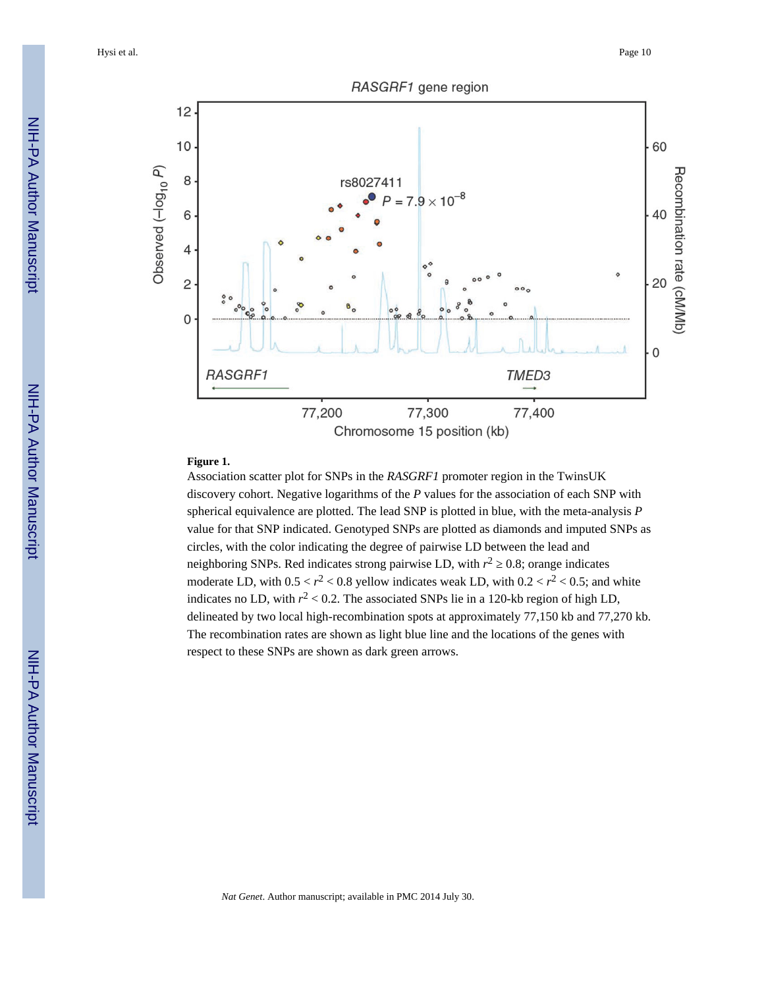Hysi et al. Page 10



# **Figure 1.**

Association scatter plot for SNPs in the *RASGRF1* promoter region in the TwinsUK discovery cohort. Negative logarithms of the *P* values for the association of each SNP with spherical equivalence are plotted. The lead SNP is plotted in blue, with the meta-analysis *P* value for that SNP indicated. Genotyped SNPs are plotted as diamonds and imputed SNPs as circles, with the color indicating the degree of pairwise LD between the lead and neighboring SNPs. Red indicates strong pairwise LD, with  $r^2$  0.8; orange indicates moderate LD, with  $0.5 < r^2 < 0.8$  yellow indicates weak LD, with  $0.2 < r^2 < 0.5$ ; and white indicates no LD, with  $r^2$  < 0.2. The associated SNPs lie in a 120-kb region of high LD, delineated by two local high-recombination spots at approximately 77,150 kb and 77,270 kb. The recombination rates are shown as light blue line and the locations of the genes with respect to these SNPs are shown as dark green arrows.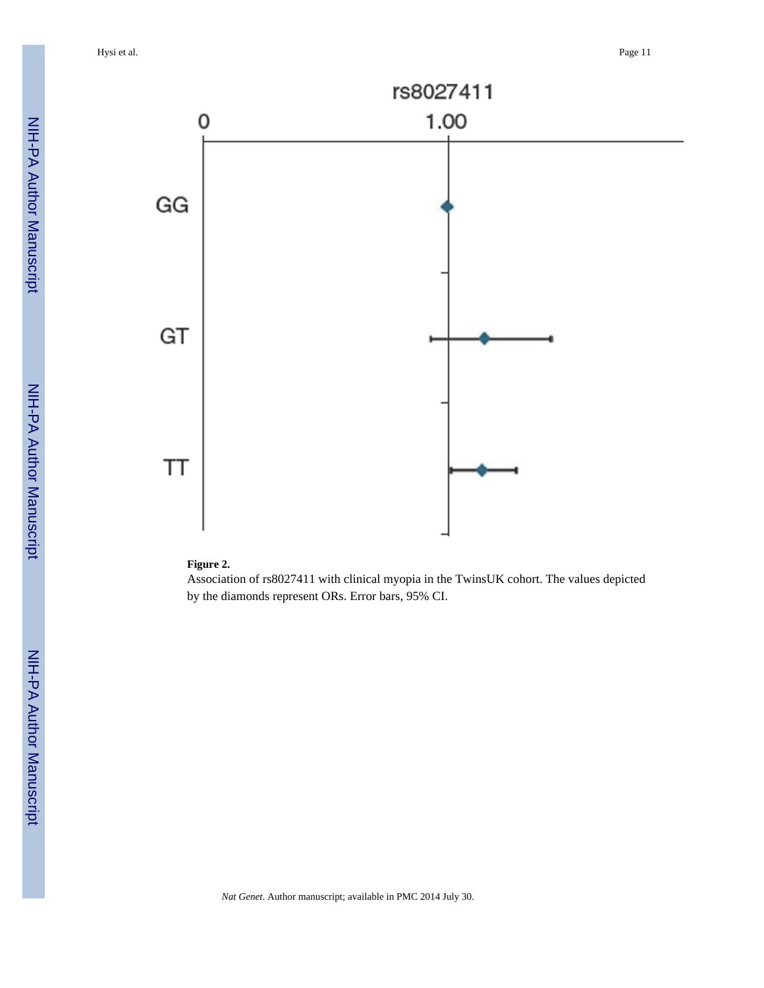

#### **Figure 2.**

Association of rs8027411 with clinical myopia in the TwinsUK cohort. The values depicted by the diamonds represent ORs. Error bars, 95% CI.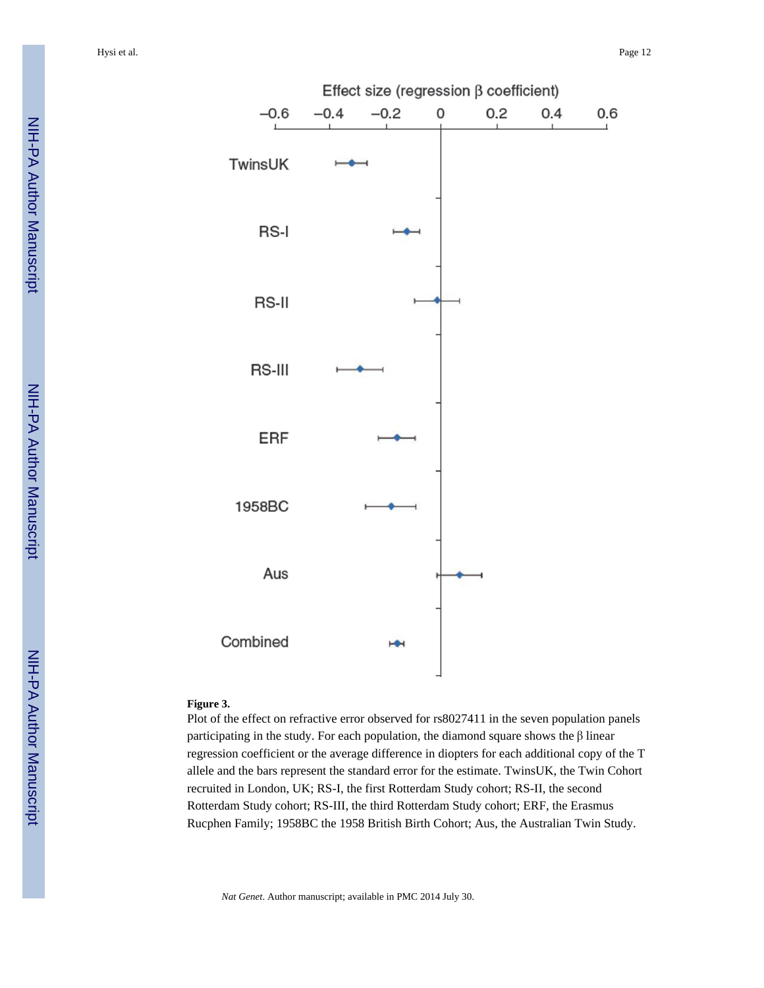



#### **Figure 3.**

Plot of the effect on refractive error observed for rs8027411 in the seven population panels participating in the study. For each population, the diamond square shows the β linear regression coefficient or the average difference in diopters for each additional copy of the T allele and the bars represent the standard error for the estimate. TwinsUK, the Twin Cohort recruited in London, UK; RS-I, the first Rotterdam Study cohort; RS-II, the second Rotterdam Study cohort; RS-III, the third Rotterdam Study cohort; ERF, the Erasmus Rucphen Family; 1958BC the 1958 British Birth Cohort; Aus, the Australian Twin Study.